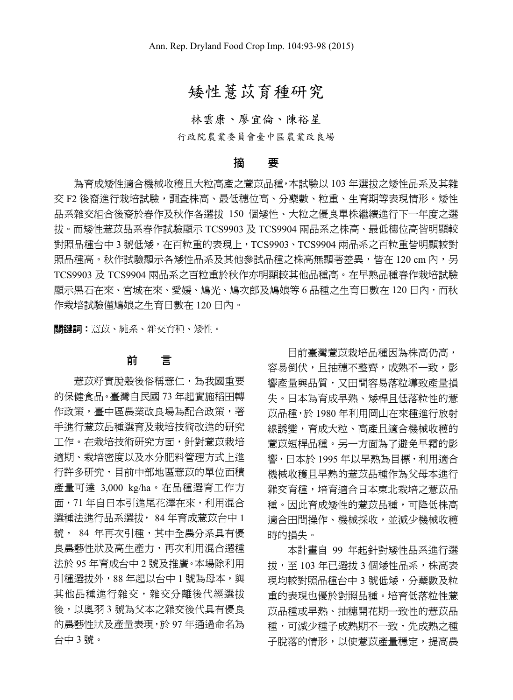# 矮性薏苡育種研究

林雲康、廖宜倫、陳裕星

行政院農業委員會臺中區農業改良場

## 摘 要

為育成矮性適合機械收穫且大粒高產之薏苡品種,本試驗以 103 年選拔之矮性品系及其雜 交 F2 後裔進行栽培試驗,調查株高、最低穗位高、分蘗數、粒重、生育期等表現情形。矮性 品系雜交組合後裔於春作及秋作各選拔 150 個矮性、大粒之優良單株繼續進行下一年度之選 拔。而矮性薏苡品系春作試驗顯示 TCS9903 及 TCS9904 兩品系之株高、最低穗位高皆明顯較 對照品種台中 3 號低矮,在百粒重的表現上,TCS9903、TCS9904 兩品系之百粒重皆明顯較對 照品種高。秋作試驗顯示各矮性品系及其他參試品種之株高無顯著差異,皆在 120 cm 內,另 TCS9903 及 TCS9904 兩品系之百粒重於秋作亦明顯較其他品種高。在早熟品種春作栽培試驗 顯示黑石在來、宮城在來、愛媛、鳩光、鳩次郎及鳩娘等 6 品種之生育日數在 120 日內,而秋 作栽培試驗僅鳩娘之生育日數在 120 日內。

關鍵詞︰薏苡、純系、雜交育種、矮性。

## 前 言

薏苡籽實脫殼後俗稱薏仁,為我國重要 的保健食品。臺灣自民國 73 年起實施稻田轉 作政策,臺中區農業改良場為配合政策,著 手進行薏苡品種選育及栽培技術改進的研究 工作。在栽培技術研究方面,針對薏苡栽培 適期、栽培密度以及水分肥料管理方式上進 行許多研究,目前中部地區薏苡的單位面積 產量可達 3,000 kg/ha。在品種選育工作方 面,71 年自日本引進尾花澤在來,利用混合 選種法進行品系選拔, 84 年育成薏苡台中 1 號, 84 年再次引種,其中全農分系具有優 良農藝性狀及高生產力,再次利用混合選種 法於 95 年育成台中 2 號及推廣。本場除利用 引種選拔外,88年起以台中1號為母本,與 其他品種進行雜交,雜交分離後代經選拔 後,以奧羽 3 號為父本之雜交後代具有優良 的農藝性狀及產量表現,於 97 年通過命名為 台中 3 號。

目前臺灣薏苡栽培品種因為株高仍高, 容易倒伏, 日抽穗不整齊, 成熟不一致, 影 響產量與品質,又田間容易落粒導致產量損 失。日本為育成早熟、矮桿且低落粒性的薏 苡品種,於 1980 年利用岡山在來種進行放射 線誘變,育成大粒、高產且適合機械收穫的 薏苡短桿品種。另一方面為了避免早霜的影 響,日本於 1995 年以早熟為目標,利用適合 機械收穫且早熟的薏苡品種作為父母本進行 雜交育種,培育適合日本東北栽培之薏苡品 種。因此育成矮性的薏苡品種,可降低株高 適合田間操作、機械採收,並減少機械收穫 時的損失。

本計畫自 99 年起針對矮性品系進行選 拔,至 103 年已選拔 3 個矮性品系,株高表 現均較對照品種台中 3 號低矮,分蘖數及粒 重的表現也優於對照品種。培育低落粒性薏 苡品種或早熟、抽穗開花期一致性的薏苡品 種,可減少種子成熟期不一致,先成熟之種 子脫落的情形,以使薏苡產量穩定,提高農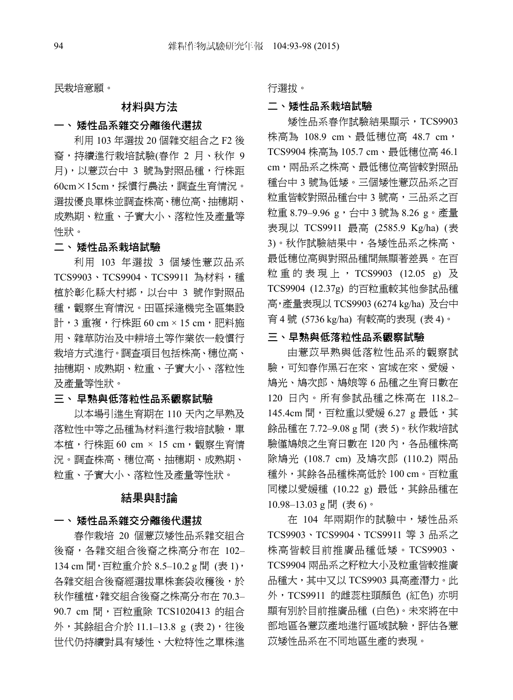民栽培意願。

### 材料與方法

#### 一、 矮性品系雜交分離後代選拔

利用 103 年選拔 20 個雜交組合之 F2 後 裔,持續進行栽培試驗(春作 2 月、秋作 9 月),以薏苡台中 3 號為對照品種,行株距 60cm×15cm,採慣行農法,調查生育情況。 選拔優良單株並調查株高、穗位高、抽穗期、 成熟期、粒重、子實大小、落粒性及產量等 性狀。

### 二、 矮性品系栽培試驗

利用 103 年選拔 3 個矮性薏苡品系 TCS9903、TCS9904、TCS9911 為材料,種 植於彰化縣大村鄉,以台中 3 號作對照品 種,觀察生育情況。田區採逢機完全區集設 計,3 重複,行株距 60 cm × 15 cm,肥料施 用、雜草防治及中耕培土等作業依一般慣行 栽培方式進行。調查項目包括株高、穗位高、 抽穗期、成熟期、粒重、子實大小、落粒性 及產量等性狀。

#### 三、 早熟與低落粒性品系觀察試驗

以本場引進生育期在 110 天內之早熟及 落粒性中等之品種為材料進行栽培試驗,單 本植, 行株距 60 cm × 15 cm, 觀察生育情 況。調查株高、穗位高、抽穗期、成熟期、 粒重、子實大小、落粒性及產量等性狀。

#### 結果與討論

### 一、 矮性品系雜交分離後代選拔

春作栽培 20 個薏苡矮性品系雜交組合 後裔,各雜交組合後裔之株高分布在 102– 134 cm 間, 百粒重介於 8.5-10.2 g 間 (表 1), 各雜交組合後裔經選拔單株套袋收穫後,於 秋作種植,雜交組合後裔之株高分布在 70.3– 90.7 cm 間, 百粒重除 TCS1020413 的組合 外,其餘組合介於 11.1-13.8 g (表 2), 往後 世代仍持續對具有矮性、大粒特性之單株進 行選拔。

### 二、矮性品系栽培試驗

矮性品系春作試驗結果顯示,TCS9903 株高為 108.9 cm、最低穗位高 48.7 cm, TCS9904 株高為 105.7 cm、最低穗位高 46.1 cm,兩品系之株高、最低穗位高皆較對照品 種台中 3 號為低矮。三個矮性薏苡品系之百 粒重皆較對照品種台中 3 號高,三品系之百 粒重 8.79–9.96 g,台中 3 號為 8.26 g。產量 表現以 TCS9911 最高 (2585.9 Kg/ha) (表 3)。秋作試驗結果中,各矮性品系之株高、 最低穗位高與對照品種間無顯著差異。在百 粒重的表現上, TCS9903 (12.05 g) 及 TCS9904 (12.37g) 的百粒重較其他參試品種 高,產量表現以 TCS9903 (6274 kg/ha) 及台中 育 4 號 (5736 kg/ha) 有較高的表現 (表 4)。

### 三、早熟與低落粒性品系觀察試驗

由薏苡早熟與低落粒性品系的觀察試 驗,可知春作黑石在來、宮城在來、愛媛、 鳩光、鳩次郎、鳩娘等 6 品種之生育日數在 120 日內。所有參試品種之株高在 118.2– 145.4cm 間,百粒重以愛媛 6.27 g 最低,其 餘品種在 7.72–9.08 g 間 (表 5)。秋作栽培試 驗僅鳩娘之生育日數在 120 內,各品種株高 除鳩光 (108.7 cm) 及鳩次郎 (110.2) 兩品 種外,其餘各品種株高低於 100 cm。百粒重 同樣以愛媛種 (10.22 g) 最低,其餘品種在 10.98–13.03 g 間 (表 6)。

在 104 年兩期作的試驗中,矮性品系 TCS9903、TCS9904、TCS9911 等 3 品系之 株高皆較目前推廣品種低矮。TCS9903、 TCS9904 兩品系之籽粒大小及粒重皆較推廣 品種大,其中又以 TCS9903 具高產潛力。此 外,TCS9911 的雌蕊柱頭顏色 (紅色) 亦明 顯有別於目前推廣品種 (白色)。未來將在中 部地區各薏苡產地進行區域試驗,評估各薏 苡矮性品系在不同地區生產的表現。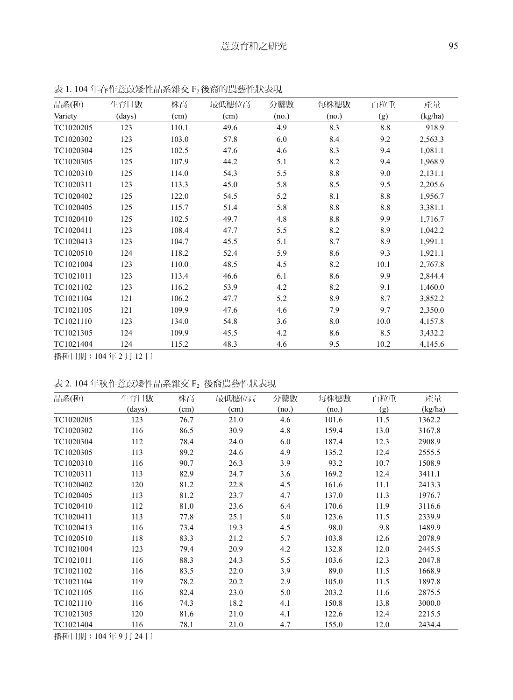| 品系(種)     | 生育日數   | 株高    | 最低穗位高 | 分蘖數   | 每株穗數  | 百粒重  | 產量      |
|-----------|--------|-------|-------|-------|-------|------|---------|
| Variety   | (days) | (cm)  | (cm)  | (no.) | (no.) | (g)  | (kg/ha) |
| TC1020205 | 123    | 110.1 | 49.6  | 4.9   | 8.3   | 8.8  | 918.9   |
| TC1020302 | 123    | 103.0 | 57.8  | 6.0   | 8.4   | 9.2  | 2,563.3 |
| TC1020304 | 125    | 102.5 | 47.6  | 4.6   | 8.3   | 9.4  | 1,081.1 |
| TC1020305 | 125    | 107.9 | 44.2  | 5.1   | 8.2   | 9.4  | 1,968.9 |
| TC1020310 | 125    | 114.0 | 54.3  | 5.5   | 8.8   | 9.0  | 2,131.1 |
| TC1020311 | 123    | 113.3 | 45.0  | 5.8   | 8.5   | 9.5  | 2,205.6 |
| TC1020402 | 125    | 122.0 | 54.5  | 5.2   | 8.1   | 8.8  | 1,956.7 |
| TC1020405 | 125    | 115.7 | 51.4  | 5.8   | 8.8   | 8.8  | 3,381.1 |
| TC1020410 | 125    | 102.5 | 49.7  | 4.8   | 8.8   | 9.9  | 1,716.7 |
| TC1020411 | 123    | 108.4 | 47.7  | 5.5   | 8.2   | 8.9  | 1,042.2 |
| TC1020413 | 123    | 104.7 | 45.5  | 5.1   | 8.7   | 8.9  | 1,991.1 |
| TC1020510 | 124    | 118.2 | 52.4  | 5.9   | 8.6   | 9.3  | 1,921.1 |
| TC1021004 | 123    | 110.0 | 48.5  | 4.5   | 8.2   | 10.1 | 2,767.8 |
| TC1021011 | 123    | 113.4 | 46.6  | 6.1   | 8.6   | 9.9  | 2,844.4 |
| TC1021102 | 123    | 116.2 | 53.9  | 4.2   | 8.2   | 9.1  | 1,460.0 |
| TC1021104 | 121    | 106.2 | 47.7  | 5.2   | 8.9   | 8.7  | 3,852.2 |
| TC1021105 | 121    | 109.9 | 47.6  | 4.6   | 7.9   | 9.7  | 2,350.0 |
| TC1021110 | 123    | 134.0 | 54.8  | 3.6   | 8.0   | 10.0 | 4,157.8 |
| TC1021305 | 124    | 109.9 | 45.5  | 4.2   | 8.6   | 8.5  | 3,432.2 |
| TC1021404 | 124    | 115.2 | 48.3  | 4.6   | 9.5   | 10.2 | 4,145.6 |

表 1.104年春作薏苡矮性品系雜交 F2後裔的農藝性狀表現

播種日期:104 年 2 月 12 日

# 表 2.104年秋作薏苡矮性品系雜交 F2 後裔農藝性狀表現

| 品系(種)     | 生育日數   | 株高   | 最低穗位高 | 分蘖數   | 每株穗數  | 百粒重  | 產量      |
|-----------|--------|------|-------|-------|-------|------|---------|
|           | (days) | (cm) | (cm)  | (no.) | (no.) | (g)  | (kg/ha) |
| TC1020205 | 123    | 76.7 | 21.0  | 4.6   | 101.6 | 11.5 | 1362.2  |
| TC1020302 | 116    | 86.5 | 30.9  | 4.8   | 159.4 | 13.0 | 3167.8  |
| TC1020304 | 112    | 78.4 | 24.0  | 6.0   | 187.4 | 12.3 | 2908.9  |
| TC1020305 | 113    | 89.2 | 24.6  | 4.9   | 135.2 | 12.4 | 2555.5  |
| TC1020310 | 116    | 90.7 | 26.3  | 3.9   | 93.2  | 10.7 | 1508.9  |
| TC1020311 | 113    | 82.9 | 24.7  | 3.6   | 169.2 | 12.4 | 3411.1  |
| TC1020402 | 120    | 81.2 | 22.8  | 4.5   | 161.6 | 11.1 | 2413.3  |
| TC1020405 | 113    | 81.2 | 23.7  | 4.7   | 137.0 | 11.3 | 1976.7  |
| TC1020410 | 112    | 81.0 | 23.6  | 6.4   | 170.6 | 11.9 | 3116.6  |
| TC1020411 | 113    | 77.8 | 25.1  | 5.0   | 123.6 | 11.5 | 2339.9  |
| TC1020413 | 116    | 73.4 | 19.3  | 4.5   | 98.0  | 9.8  | 1489.9  |
| TC1020510 | 118    | 83.3 | 21.2  | 5.7   | 103.8 | 12.6 | 2078.9  |
| TC1021004 | 123    | 79.4 | 20.9  | 4.2   | 132.8 | 12.0 | 2445.5  |
| TC1021011 | 116    | 88.3 | 24.3  | 5.5   | 103.6 | 12.3 | 2047.8  |
| TC1021102 | 116    | 83.5 | 22.0  | 3.9   | 89.0  | 11.5 | 1668.9  |
| TC1021104 | 119    | 78.2 | 20.2  | 2.9   | 105.0 | 11.5 | 1897.8  |
| TC1021105 | 116    | 82.4 | 23.0  | 5.0   | 203.2 | 11.6 | 2875.5  |
| TC1021110 | 116    | 74.3 | 18.2  | 4.1   | 150.8 | 13.8 | 3000.0  |
| TC1021305 | 120    | 81.6 | 21.0  | 4.1   | 122.6 | 12.4 | 2215.5  |
| TC1021404 | 116    | 78.1 | 21.0  | 4.7   | 155.0 | 12.0 | 2434.4  |

播種日期:104 年 9 月 24 日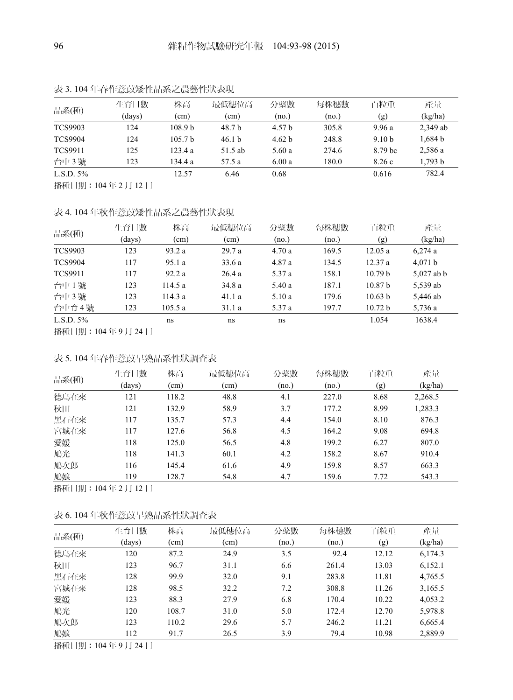|                | 生育日數               | 株高                 | 最低穗位高   | 分蘖數    | 每株穗數  | 百粒重               | 產量                 |
|----------------|--------------------|--------------------|---------|--------|-------|-------------------|--------------------|
| 品系(種)          | (days)             | (cm)               | (cm)    | (no.)  | (no.) | (g)               | (kg/ha)            |
| <b>TCS9903</b> | 124                | 108.9 <sub>b</sub> | 48.7 b  | 4.57 h | 305.8 | 9.96a             | 2,349 ab           |
| <b>TCS9904</b> | 124                | 105.7 <sub>b</sub> | 46.1 h  | 4.62 h | 248.8 | 9.10 <sub>b</sub> | 1.684 <sub>b</sub> |
| <b>TCS9911</b> | 125                | 123.4a             | 51.5 ab | 5.60a  | 274.6 | 8.79 hc           | 2,586 a            |
| 台中3號           | 123                | 134.4 a            | 57.5 a  | 6.00a  | 180.0 | 8.26c             | 1,793 b            |
| L.S.D. $5%$    |                    | 12.57              | 6.46    | 0.68   |       | 0.616             | 782.4              |
|                | . <b>. . . . .</b> |                    |         |        |       |                   |                    |

表 3. 104 年春作薏苡矮性品系之農藝性狀表現

播種日期:104 年 2 月 12 日

## 表 4. 104 年秋作薏苡矮性品系之農藝性狀表現

| 品系(種)          | 生育日數<br>(days) | 株高<br>(cm) | 最低穗位高<br>(cm) | 分蘖數<br>(no.) | 每株穗數<br>(no.) | 百粒重<br>(g)         | 產量<br>(kg/ha) |
|----------------|----------------|------------|---------------|--------------|---------------|--------------------|---------------|
| <b>TCS9903</b> | 123            | 93.2a      | 29.7a         | 4.70a        | 169.5         | 12.05a             | 6,274a        |
| <b>TCS9904</b> | 117            | 95.1 a     | 33.6a         | 4.87 a       | 134.5         | 12.37a             | 4,071 b       |
| <b>TCS9911</b> | 117            | 92.2a      | 26.4a         | 5.37 a       | 158.1         | 10.79 <sub>b</sub> | $5,027$ ab b  |
| 台中1號           | 123            | 114.5a     | 34.8 a        | 5.40 a       | 187.1         | 10.87 <sub>b</sub> | 5,539 ab      |
| 台中3號           | 123            | 114.3a     | 41.1a         | 5.10a        | 179.6         | 10.63 b            | 5,446 ab      |
| 台中育4號          | 123            | 105.5a     | 31.1a         | 5.37 a       | 197.7         | 10.72 b            | 5,736 a       |
| L.S.D. $5\%$   |                | ns         | ns            | ns           |               | 1.054              | 1638.4        |

播種日期:104 年 9 月 24 日

## 表 5. 104 年春作薏苡早熟品系性狀調查表

| 品系(種) | 生育日數   | 株高    | 最低穗位高 | 分蘖數   | 每株穗數  | 百粒重  | 產量      |
|-------|--------|-------|-------|-------|-------|------|---------|
|       | (days) | (cm)  | (cm)  | (no.) | (no.) | (g)  | (kg/ha) |
| 德島在來  | 121    | 118.2 | 48.8  | 4.1   | 227.0 | 8.68 | 2,268.5 |
| 秋田    | 121    | 132.9 | 58.9  | 3.7   | 177.2 | 8.99 | 1,283.3 |
| 黑石在來  | 117    | 135.7 | 57.3  | 4.4   | 154.0 | 8.10 | 876.3   |
| 宮城在來  | 117    | 127.6 | 56.8  | 4.5   | 164.2 | 9.08 | 694.8   |
| 愛媛    | 118    | 125.0 | 56.5  | 4.8   | 199.2 | 6.27 | 807.0   |
| 鳩光    | 118    | 141.3 | 60.1  | 4.2   | 158.2 | 8.67 | 910.4   |
| 鳩次郎   | 116    | 145.4 | 61.6  | 4.9   | 159.8 | 8.57 | 663.3   |
| 鳩娘    | 119    | 128.7 | 54.8  | 4.7   | 159.6 | 7.72 | 543.3   |

播種日期:104 年 2 月 12 日

#### 表 6. 104 年秋作薏苡早熟品系性狀調查表

| 品系(種) | 生育日數   | 株高    | 最低穗位高 | 分蘖數   | 每株穗數  | 百粒重   | 產量      |
|-------|--------|-------|-------|-------|-------|-------|---------|
|       | (days) | (cm)  | (cm)  | (no.) | (no.) | (g)   | (kg/ha) |
| 德島在來  | 120    | 87.2  | 24.9  | 3.5   | 92.4  | 12.12 | 6,174.3 |
| 秋田    | 123    | 96.7  | 31.1  | 6.6   | 261.4 | 13.03 | 6,152.1 |
| 黑石在來  | 128    | 99.9  | 32.0  | 9.1   | 283.8 | 11.81 | 4,765.5 |
| 宮城在來  | 128    | 98.5  | 32.2  | 7.2   | 308.8 | 11.26 | 3,165.5 |
| 愛媛    | 123    | 88.3  | 27.9  | 6.8   | 170.4 | 10.22 | 4,053.2 |
| 鳩光    | 120    | 108.7 | 31.0  | 5.0   | 172.4 | 12.70 | 5,978.8 |
| 鳩次郎   | 123    | 110.2 | 29.6  | 5.7   | 246.2 | 11.21 | 6,665.4 |
| 鳩娘    | 112    | 91.7  | 26.5  | 3.9   | 79.4  | 10.98 | 2,889.9 |
|       |        |       |       |       |       |       |         |

播種日期:104 年 9 月 24 日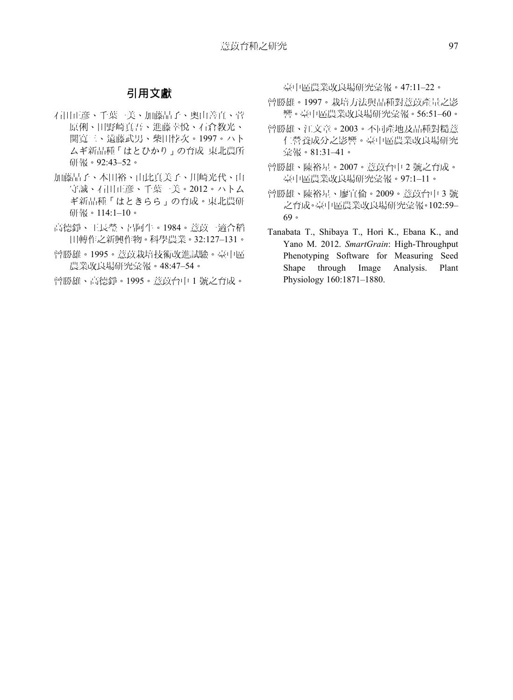# 引用文獻

- 石田正彦、千葉一美、加藤晶子、奧山善直、菅 原俐、田野崎真吾、進藤幸悅、石倉教光、 関寬三、遠藤武男、柴田悖次。1997。ハト ムギ新品種「はとひかり」の育成 東北農所 研報。92:43–52。
- 加藤晶子、本田裕、由比真美子、川崎光代、山 守誠、石田正彦、千葉一美。2012。ハトム ギ新品種「はときらら」の育成。東北農研 研報。114:1–10。
- 高德錚、王長瑩、呂阿牛。1984。薏苡一適合稻 田轉作之新興作物。科學農業。32:127–131。
- 曾勝雄。1995。薏苡栽培技術改進試驗。臺中區 農業改良場研究彙報。48:47–54。
- 曾勝雄、高德錚。1995。薏苡台中 1 號之育成。

臺中區農業改良場研究彙報。47:11–22。

- 曾勝雄。1997。栽培方法與品種對薏苡產量之影 響。臺中區農業改良場研究彙報。56:51–60。
- 曾勝雄、江文章。2003。不同產地及品種對糙薏 仁營養成分之影響。臺中區農業改良場研究 彙報。81:31–41。
- 曾勝雄、陳裕星。2007。薏苡台中 2 號之育成。 臺中區農業改良場研究彙報。97:1–11。
- 曾勝雄、陳裕星、廖宜倫。2009。薏苡台中 3 號 之育成。臺中區農業改良場研究彙報。102:59– 69。
- Tanabata T., Shibaya T., Hori K., Ebana K., and Yano M. 2012. *SmartGrain*: High-Throughput Phenotyping Software for Measuring Seed Shape through Image Analysis. Plant Physiology 160:1871–1880.